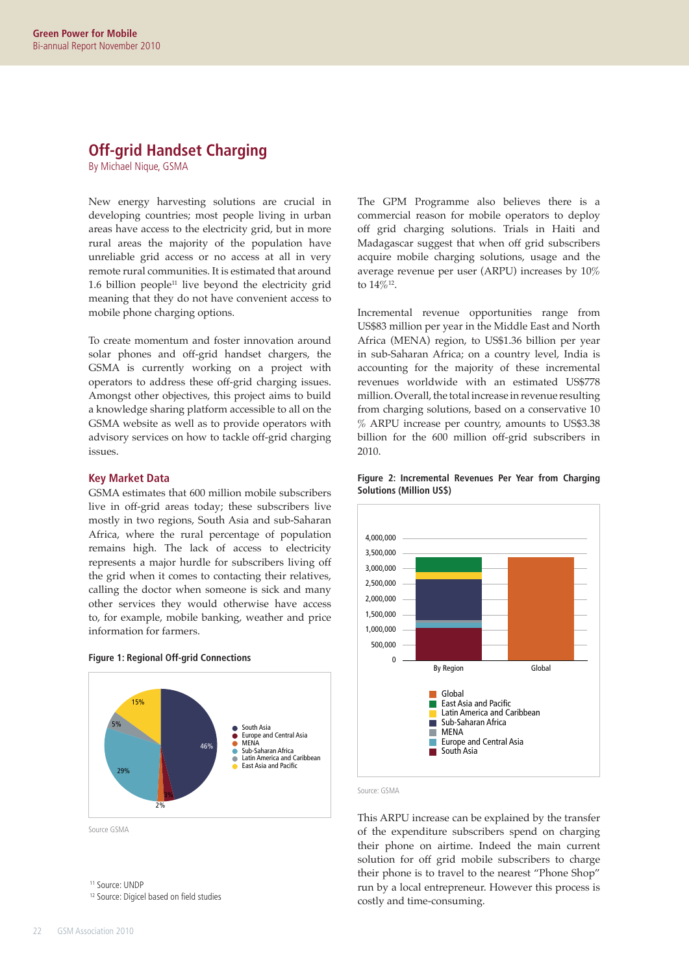# **Off-grid Handset Charging**

By Michael Nique, GSMA

New energy harvesting solutions are crucial in developing countries; most people living in urban areas have access to the electricity grid, but in more rural areas the majority of the population have unreliable grid access or no access at all in very remote rural communities. It is estimated that around 1.6 billion people $11$  live beyond the electricity grid meaning that they do not have convenient access to mobile phone charging options.

To create momentum and foster innovation around solar phones and off-grid handset chargers, the GSMA is currently working on a project with operators to address these off-grid charging issues. Amongst other objectives, this project aims to build a knowledge sharing platform accessible to all on the GSMA website as well as to provide operators with advisory services on how to tackle off-grid charging issues.

## **Key Market Data**

GSMA estimates that 600 million mobile subscribers live in off-grid areas today; these subscribers live mostly in two regions, South Asia and sub-Saharan Africa, where the rural percentage of population remains high. The lack of access to electricity represents a major hurdle for subscribers living off the grid when it comes to contacting their relatives, calling the doctor when someone is sick and many other services they would otherwise have access to, for example, mobile banking, weather and price information for farmers.

## **Figure 1: Regional Off-grid Connections**



Source GSMA

<sup>12</sup> Source: Digicel based on field studies

The GPM Programme also believes there is a commercial reason for mobile operators to deploy off grid charging solutions. Trials in Haiti and Madagascar suggest that when off grid subscribers acquire mobile charging solutions, usage and the average revenue per user (ARPU) increases by 10% to 14%12.

Incremental revenue opportunities range from US\$83 million per year in the Middle East and North Africa (MENA) region, to US\$1.36 billion per year in sub-Saharan Africa; on a country level, India is accounting for the majority of these incremental revenues worldwide with an estimated US\$778 million. Overall, the total increase in revenue resulting from charging solutions, based on a conservative 10 % ARPU increase per country, amounts to US\$3.38 billion for the 600 million off-grid subscribers in 2010.



#### **Figure 2: Incremental Revenues Per Year from Charging Solutions (Million US\$)**

#### Source: GSMA

This ARPU increase can be explained by the transfer of the expenditure subscribers spend on charging their phone on airtime. Indeed the main current solution for off grid mobile subscribers to charge their phone is to travel to the nearest "Phone Shop" run by a local entrepreneur. However this process is costly and time-consuming.

<sup>&</sup>lt;sup>11</sup> Source: UNDP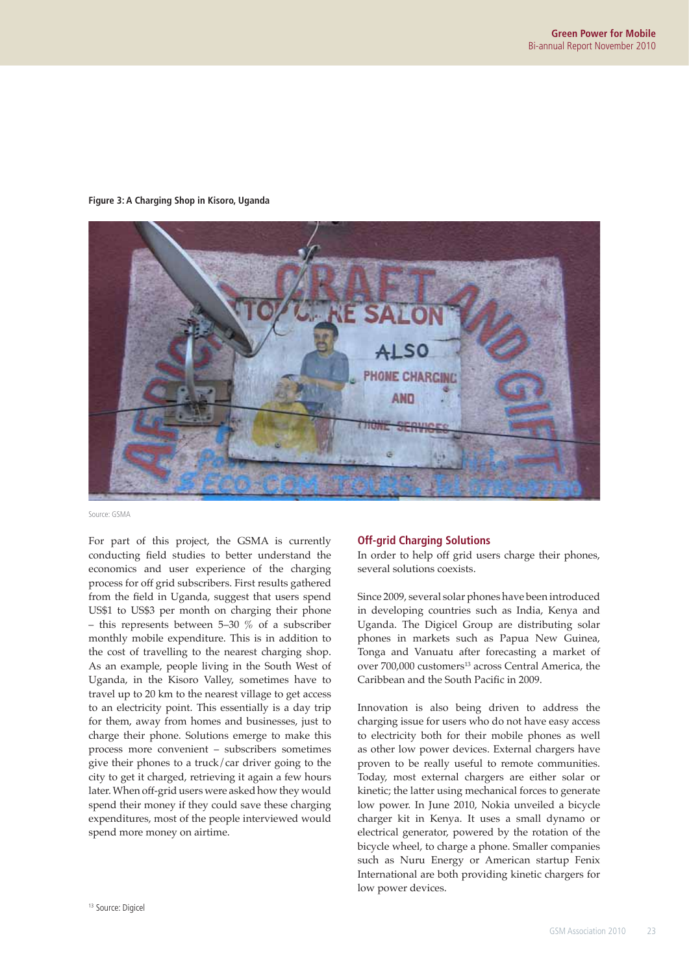## **Figure 3: A Charging Shop in Kisoro, Uganda**



Source: GSMA

For part of this project, the GSMA is currently conducting field studies to better understand the economics and user experience of the charging process for off grid subscribers. First results gathered from the field in Uganda, suggest that users spend US\$1 to US\$3 per month on charging their phone – this represents between 5–30  $\%$  of a subscriber monthly mobile expenditure. This is in addition to the cost of travelling to the nearest charging shop. As an example, people living in the South West of Uganda, in the Kisoro Valley, sometimes have to travel up to 20 km to the nearest village to get access to an electricity point. This essentially is a day trip for them, away from homes and businesses, just to charge their phone. Solutions emerge to make this process more convenient – subscribers sometimes give their phones to a truck/car driver going to the city to get it charged, retrieving it again a few hours later. When off-grid users were asked how they would spend their money if they could save these charging expenditures, most of the people interviewed would spend more money on airtime.

## **Off-grid Charging Solutions**

In order to help off grid users charge their phones, several solutions coexists.

Since 2009, several solar phones have been introduced in developing countries such as India, Kenya and Uganda. The Digicel Group are distributing solar phones in markets such as Papua New Guinea, Tonga and Vanuatu after forecasting a market of over 700,000 customers<sup>13</sup> across Central America, the Caribbean and the South Pacific in 2009.

Innovation is also being driven to address the charging issue for users who do not have easy access to electricity both for their mobile phones as well as other low power devices. External chargers have proven to be really useful to remote communities. Today, most external chargers are either solar or kinetic; the latter using mechanical forces to generate low power. In June 2010, Nokia unveiled a bicycle charger kit in Kenya. It uses a small dynamo or electrical generator, powered by the rotation of the bicycle wheel, to charge a phone. Smaller companies such as Nuru Energy or American startup Fenix International are both providing kinetic chargers for low power devices.